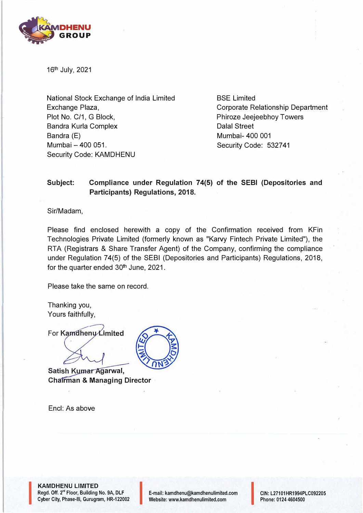

16th July, 2021

National Stock Exchange of India Limited Exchange Plaza, Plot No. C/1, G Block, Sandra Kurla Complex Bandra (E) Mumbai - 400 051. Security Code: KAMDHENU

BSE Limited Corporate Relationship Department Phiroze Jeejeebhoy Towers Dalal Street Mumbai- 400 001 Security Code: 532741

## **Subject: Compliance under Regulation 74(5) of the SEBI (Depositories and Participants) Regulations, 2018.**

Sir/Madam,

Please find enclosed herewith a copy of the Confirmation received from KFin Technologies Private Limited (formerly known as "Karvy Fintech Private Limited"), the RTA (Registrars & Share Transfer Agent) of the Company, confirming the compliance under Regulation 74(5) of the SEBI (Depositories and Participants) Regulations, 2018, for the quarter ended 30<sup>th</sup> June, 2021.

Please take the same on record.

Thanking you, Yours faithfully,

For Kamdhenu Limited

**Satish Kumar Agarwal, Chairman & Managing Director** 

Encl: As above



**KAMDHENU LIMITED**  Regd. Off. 2'' Floor, Building No. 9A, DLF **KAMDHENU LIMITED<br>Regd. Off. 2<sup>nd</sup> Floor, Building No. 9A, DLF<br>Cyber City, Phase-III, Gurugram, HR-122002** 

l<br>I<br>I<br>I

E-mail: kamdhenu@kamdhenulimited.com E-mail: kamdhenu@kamdhenulimited.com<br>Website: www.kamdhenulimited.com

CIN: L27101HR1994PLC092205 Phone: 0124 4604500